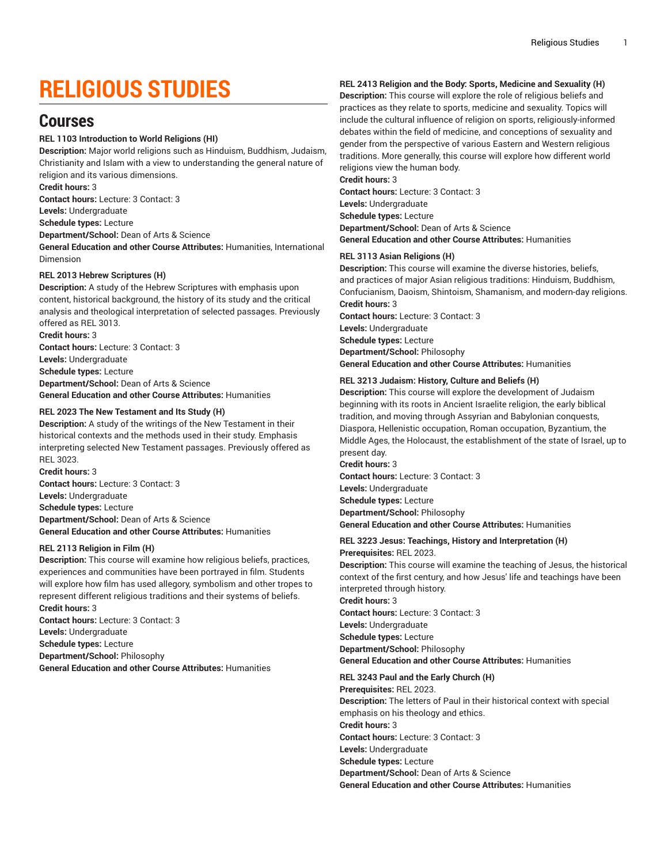# **RELIGIOUS STUDIES**

## **Courses**

#### **REL 1103 Introduction to World Religions (HI)**

**Description:** Major world religions such as Hinduism, Buddhism, Judaism, Christianity and Islam with a view to understanding the general nature of religion and its various dimensions.

**Credit hours:** 3

**Contact hours:** Lecture: 3 Contact: 3

**Levels:** Undergraduate

**Schedule types:** Lecture

**Department/School:** Dean of Arts & Science

**General Education and other Course Attributes:** Humanities, International Dimension

#### **REL 2013 Hebrew Scriptures (H)**

**Description:** A study of the Hebrew Scriptures with emphasis upon content, historical background, the history of its study and the critical analysis and theological interpretation of selected passages. Previously offered as REL 3013. **Credit hours:** 3

**Contact hours:** Lecture: 3 Contact: 3 **Levels:** Undergraduate **Schedule types:** Lecture **Department/School:** Dean of Arts & Science **General Education and other Course Attributes:** Humanities

#### **REL 2023 The New Testament and Its Study (H)**

**Description:** A study of the writings of the New Testament in their historical contexts and the methods used in their study. Emphasis interpreting selected New Testament passages. Previously offered as REL 3023.

**Credit hours:** 3 **Contact hours:** Lecture: 3 Contact: 3 **Levels:** Undergraduate **Schedule types:** Lecture **Department/School:** Dean of Arts & Science **General Education and other Course Attributes:** Humanities

#### **REL 2113 Religion in Film (H)**

**Description:** This course will examine how religious beliefs, practices, experiences and communities have been portrayed in film. Students will explore how film has used allegory, symbolism and other tropes to represent different religious traditions and their systems of beliefs. **Credit hours:** 3

**Contact hours:** Lecture: 3 Contact: 3 **Levels:** Undergraduate **Schedule types:** Lecture **Department/School:** Philosophy **General Education and other Course Attributes:** Humanities

#### **REL 2413 Religion and the Body: Sports, Medicine and Sexuality (H)**

**Description:** This course will explore the role of religious beliefs and practices as they relate to sports, medicine and sexuality. Topics will include the cultural influence of religion on sports, religiously-informed debates within the field of medicine, and conceptions of sexuality and gender from the perspective of various Eastern and Western religious traditions. More generally, this course will explore how different world religions view the human body.

**Credit hours:** 3 **Contact hours:** Lecture: 3 Contact: 3 **Levels:** Undergraduate **Schedule types:** Lecture **Department/School:** Dean of Arts & Science **General Education and other Course Attributes:** Humanities

#### **REL 3113 Asian Religions (H)**

**Description:** This course will examine the diverse histories, beliefs, and practices of major Asian religious traditions: Hinduism, Buddhism, Confucianism, Daoism, Shintoism, Shamanism, and modern-day religions. **Credit hours:** 3 **Contact hours:** Lecture: 3 Contact: 3 **Levels:** Undergraduate **Schedule types:** Lecture

**Department/School:** Philosophy **General Education and other Course Attributes:** Humanities

#### **REL 3213 Judaism: History, Culture and Beliefs (H)**

**Description:** This course will explore the development of Judaism beginning with its roots in Ancient Israelite religion, the early biblical tradition, and moving through Assyrian and Babylonian conquests, Diaspora, Hellenistic occupation, Roman occupation, Byzantium, the Middle Ages, the Holocaust, the establishment of the state of Israel, up to present day.

**Credit hours:** 3 **Contact hours:** Lecture: 3 Contact: 3 **Levels:** Undergraduate **Schedule types:** Lecture **Department/School:** Philosophy **General Education and other Course Attributes:** Humanities

## **REL 3223 Jesus: Teachings, History and Interpretation (H)**

**Prerequisites:** REL 2023.

**Description:** This course will examine the teaching of Jesus, the historical context of the first century, and how Jesus' life and teachings have been interpreted through history. **Credit hours:** 3

**Contact hours:** Lecture: 3 Contact: 3 **Levels:** Undergraduate **Schedule types:** Lecture **Department/School:** Philosophy **General Education and other Course Attributes:** Humanities

### **REL 3243 Paul and the Early Church (H)**

**Prerequisites:** REL 2023. **Description:** The letters of Paul in their historical context with special emphasis on his theology and ethics. **Credit hours:** 3 **Contact hours:** Lecture: 3 Contact: 3 **Levels:** Undergraduate **Schedule types:** Lecture **Department/School:** Dean of Arts & Science **General Education and other Course Attributes:** Humanities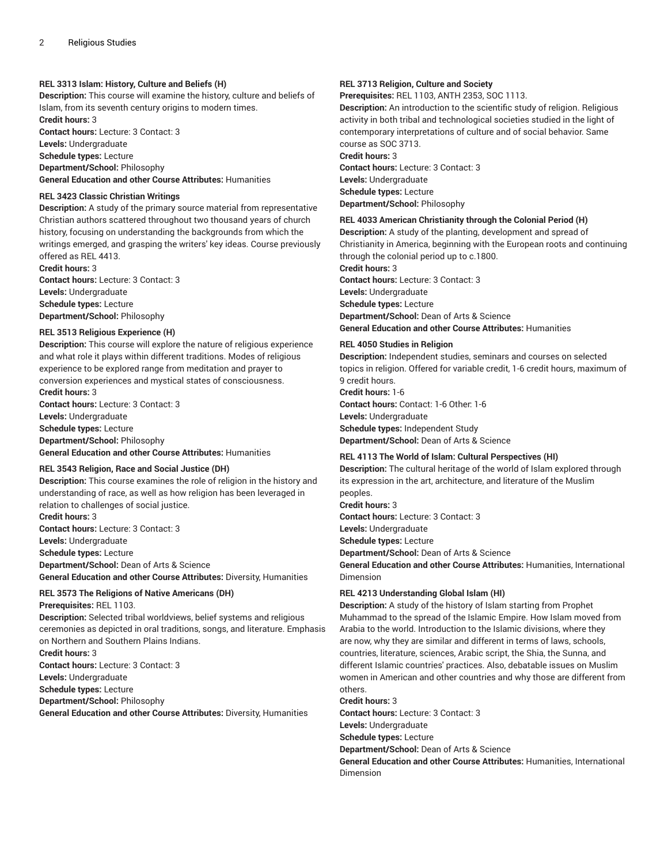#### **REL 3313 Islam: History, Culture and Beliefs (H)**

**Description:** This course will examine the history, culture and beliefs of Islam, from its seventh century origins to modern times. **Credit hours:** 3

**Contact hours:** Lecture: 3 Contact: 3 **Levels:** Undergraduate

**Schedule types:** Lecture

**Department/School:** Philosophy

**General Education and other Course Attributes:** Humanities

#### **REL 3423 Classic Christian Writings**

**Description:** A study of the primary source material from representative Christian authors scattered throughout two thousand years of church history, focusing on understanding the backgrounds from which the writings emerged, and grasping the writers' key ideas. Course previously offered as REL 4413.

**Credit hours:** 3 **Contact hours:** Lecture: 3 Contact: 3 **Levels:** Undergraduate **Schedule types:** Lecture **Department/School:** Philosophy

#### **REL 3513 Religious Experience (H)**

**Description:** This course will explore the nature of religious experience and what role it plays within different traditions. Modes of religious experience to be explored range from meditation and prayer to conversion experiences and mystical states of consciousness. **Credit hours:** 3

**Contact hours:** Lecture: 3 Contact: 3

**Levels:** Undergraduate

**Schedule types:** Lecture

**Department/School:** Philosophy

**General Education and other Course Attributes:** Humanities

#### **REL 3543 Religion, Race and Social Justice (DH)**

**Description:** This course examines the role of religion in the history and understanding of race, as well as how religion has been leveraged in relation to challenges of social justice.

**Credit hours:** 3 **Contact hours:** Lecture: 3 Contact: 3 **Levels:** Undergraduate

**Schedule types:** Lecture **Department/School:** Dean of Arts & Science **General Education and other Course Attributes:** Diversity, Humanities

#### **REL 3573 The Religions of Native Americans (DH) Prerequisites:** REL 1103.

**Description:** Selected tribal worldviews, belief systems and religious ceremonies as depicted in oral traditions, songs, and literature. Emphasis on Northern and Southern Plains Indians. **Credit hours:** 3

**Contact hours:** Lecture: 3 Contact: 3

**Levels:** Undergraduate

**Schedule types:** Lecture

**Department/School:** Philosophy

**General Education and other Course Attributes:** Diversity, Humanities

#### **REL 3713 Religion, Culture and Society**

**Prerequisites:** REL 1103, ANTH 2353, SOC 1113.

**Description:** An introduction to the scientific study of religion. Religious activity in both tribal and technological societies studied in the light of contemporary interpretations of culture and of social behavior. Same course as SOC 3713. **Credit hours:** 3 **Contact hours:** Lecture: 3 Contact: 3

**Levels:** Undergraduate **Schedule types:** Lecture **Department/School:** Philosophy

#### **REL 4033 American Christianity through the Colonial Period (H)**

**Description:** A study of the planting, development and spread of Christianity in America, beginning with the European roots and continuing through the colonial period up to c.1800. **Credit hours:** 3 **Contact hours:** Lecture: 3 Contact: 3 **Levels:** Undergraduate **Schedule types:** Lecture **Department/School:** Dean of Arts & Science **General Education and other Course Attributes:** Humanities

#### **REL 4050 Studies in Religion**

**Description:** Independent studies, seminars and courses on selected topics in religion. Offered for variable credit, 1-6 credit hours, maximum of 9 credit hours.

**Credit hours:** 1-6 **Contact hours:** Contact: 1-6 Other: 1-6 **Levels:** Undergraduate

**Schedule types:** Independent Study

**Department/School:** Dean of Arts & Science

#### **REL 4113 The World of Islam: Cultural Perspectives (HI)**

**Description:** The cultural heritage of the world of Islam explored through its expression in the art, architecture, and literature of the Muslim peoples. **Credit hours:** 3 **Contact hours:** Lecture: 3 Contact: 3 **Levels:** Undergraduate **Schedule types:** Lecture

**Department/School:** Dean of Arts & Science

**General Education and other Course Attributes:** Humanities, International Dimension

#### **REL 4213 Understanding Global Islam (HI)**

**Description:** A study of the history of Islam starting from Prophet Muhammad to the spread of the Islamic Empire. How Islam moved from Arabia to the world. Introduction to the Islamic divisions, where they are now, why they are similar and different in terms of laws, schools, countries, literature, sciences, Arabic script, the Shia, the Sunna, and different Islamic countries' practices. Also, debatable issues on Muslim women in American and other countries and why those are different from others.

#### **Credit hours:** 3

**Contact hours:** Lecture: 3 Contact: 3

**Levels:** Undergraduate

**Schedule types:** Lecture

**Department/School:** Dean of Arts & Science

**General Education and other Course Attributes:** Humanities, International Dimension